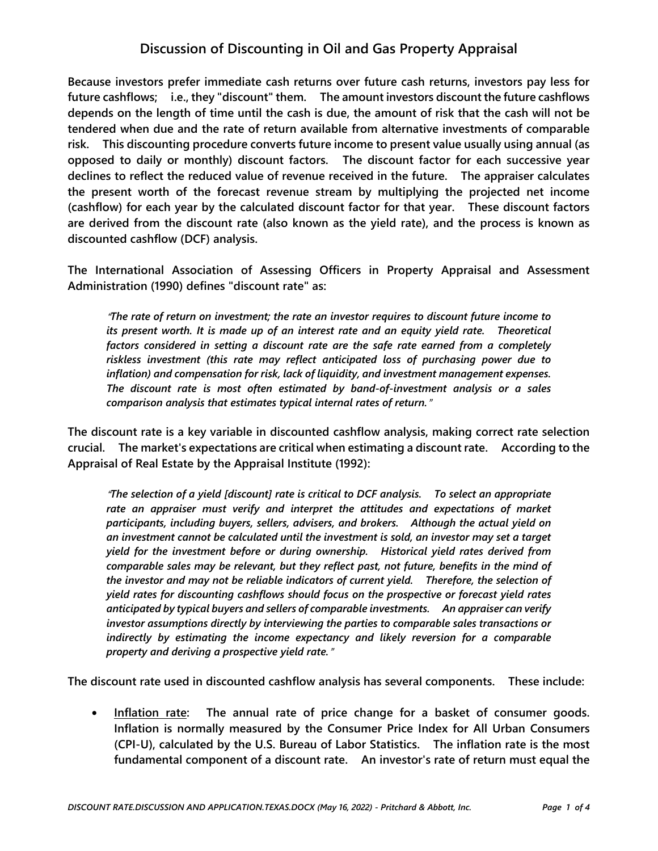# **Discussion of Discounting in Oil and Gas Property Appraisal**

**Because investors prefer immediate cash returns over future cash returns, investors pay less for future cashflows; i.e., they "discount" them. The amount investors discount the future cashflows depends on the length of time until the cash is due, the amount of risk that the cash will not be tendered when due and the rate of return available from alternative investments of comparable risk. This discounting procedure converts future income to present value usually using annual (as opposed to daily or monthly) discount factors. The discount factor for each successive year declines to reflect the reduced value of revenue received in the future. The appraiser calculates the present worth of the forecast revenue stream by multiplying the projected net income (cashflow) for each year by the calculated discount factor for that year. These discount factors are derived from the discount rate (also known as the yield rate), and the process is known as discounted cashflow (DCF) analysis.** 

**The International Association of Assessing Officers in Property Appraisal and Assessment Administration (1990) defines "discount rate" as:** 

<sup>A</sup>*The rate of return on investment; the rate an investor requires to discount future income to its present worth. It is made up of an interest rate and an equity yield rate. Theoretical factors considered in setting a discount rate are the safe rate earned from a completely riskless investment (this rate may reflect anticipated loss of purchasing power due to inflation) and compensation for risk, lack of liquidity, and investment management expenses. The discount rate is most often estimated by band-of-investment analysis or a sales comparison analysis that estimates typical internal rates of return.*@

**The discount rate is a key variable in discounted cashflow analysis, making correct rate selection crucial. The market's expectations are critical when estimating a discount rate. According to the Appraisal of Real Estate by the Appraisal Institute (1992):** 

<sup>A</sup>*The selection of a yield [discount] rate is critical to DCF analysis. To select an appropriate*  rate an appraiser must verify and interpret the attitudes and expectations of market *participants, including buyers, sellers, advisers, and brokers. Although the actual yield on an investment cannot be calculated until the investment is sold, an investor may set a target yield for the investment before or during ownership. Historical yield rates derived from comparable sales may be relevant, but they reflect past, not future, benefits in the mind of the investor and may not be reliable indicators of current yield. Therefore, the selection of yield rates for discounting cashflows should focus on the prospective or forecast yield rates anticipated by typical buyers and sellers of comparable investments. An appraiser can verify investor assumptions directly by interviewing the parties to comparable sales transactions or indirectly by estimating the income expectancy and likely reversion for a comparable property and deriving a prospective yield rate.*@

**The discount rate used in discounted cashflow analysis has several components. These include:** 

• Inflation rate: The annual rate of price change for a basket of consumer goods. **Inflation is normally measured by the Consumer Price Index for All Urban Consumers (CPI-U), calculated by the U.S. Bureau of Labor Statistics. The inflation rate is the most fundamental component of a discount rate. An investor's rate of return must equal the**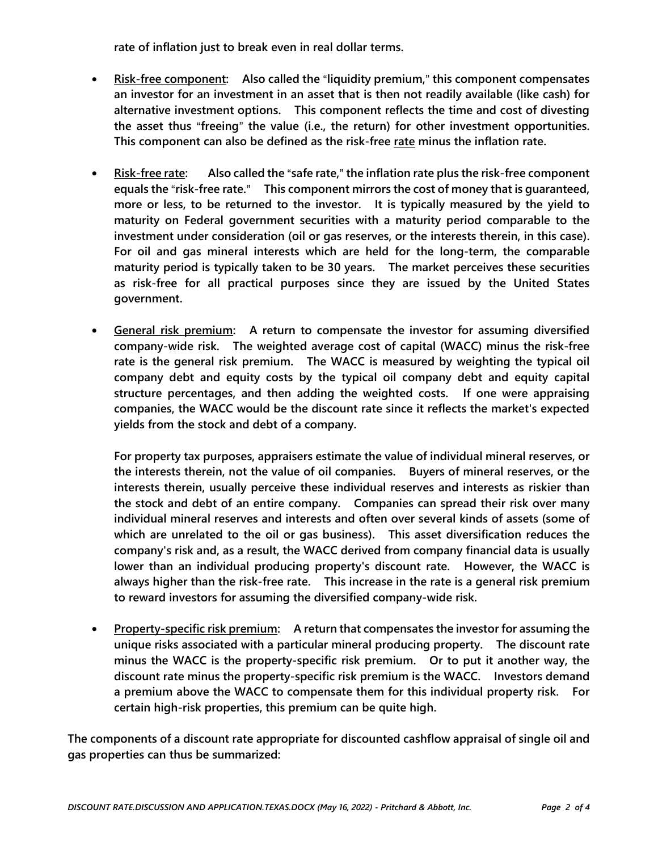**rate of inflation just to break even in real dollar terms.** 

- **•** Risk-free component: Also called the "liquidity premium," this component compensates **an investor for an investment in an asset that is then not readily available (like cash) for alternative investment options. This component reflects the time and cost of divesting**  the asset thus "freeing" the value (i.e., the return) for other investment opportunities. **This component can also be defined as the risk-free rate minus the inflation rate.**
- **•** Risk-free rate: Also called the "safe rate," the inflation rate plus the risk-free component **equals the "risk-free rate."** This component mirrors the cost of money that is quaranteed, **more or less, to be returned to the investor. It is typically measured by the yield to maturity on Federal government securities with a maturity period comparable to the investment under consideration (oil or gas reserves, or the interests therein, in this case). For oil and gas mineral interests which are held for the long-term, the comparable maturity period is typically taken to be 30 years. The market perceives these securities as risk-free for all practical purposes since they are issued by the United States government.**
- **•** General risk premium: A return to compensate the investor for assuming diversified **company-wide risk. The weighted average cost of capital (WACC) minus the risk-free rate is the general risk premium. The WACC is measured by weighting the typical oil company debt and equity costs by the typical oil company debt and equity capital structure percentages, and then adding the weighted costs. If one were appraising companies, the WACC would be the discount rate since it reflects the market's expected yields from the stock and debt of a company.**

**For property tax purposes, appraisers estimate the value of individual mineral reserves, or the interests therein, not the value of oil companies. Buyers of mineral reserves, or the interests therein, usually perceive these individual reserves and interests as riskier than the stock and debt of an entire company. Companies can spread their risk over many individual mineral reserves and interests and often over several kinds of assets (some of which are unrelated to the oil or gas business). This asset diversification reduces the company's risk and, as a result, the WACC derived from company financial data is usually lower than an individual producing property's discount rate. However, the WACC is always higher than the risk-free rate. This increase in the rate is a general risk premium to reward investors for assuming the diversified company-wide risk.** 

**•** Property-specific risk premium: A return that compensates the investor for assuming the **unique risks associated with a particular mineral producing property. The discount rate minus the WACC is the property-specific risk premium. Or to put it another way, the discount rate minus the property-specific risk premium is the WACC. Investors demand a premium above the WACC to compensate them for this individual property risk. For certain high-risk properties, this premium can be quite high.** 

**The components of a discount rate appropriate for discounted cashflow appraisal of single oil and gas properties can thus be summarized:**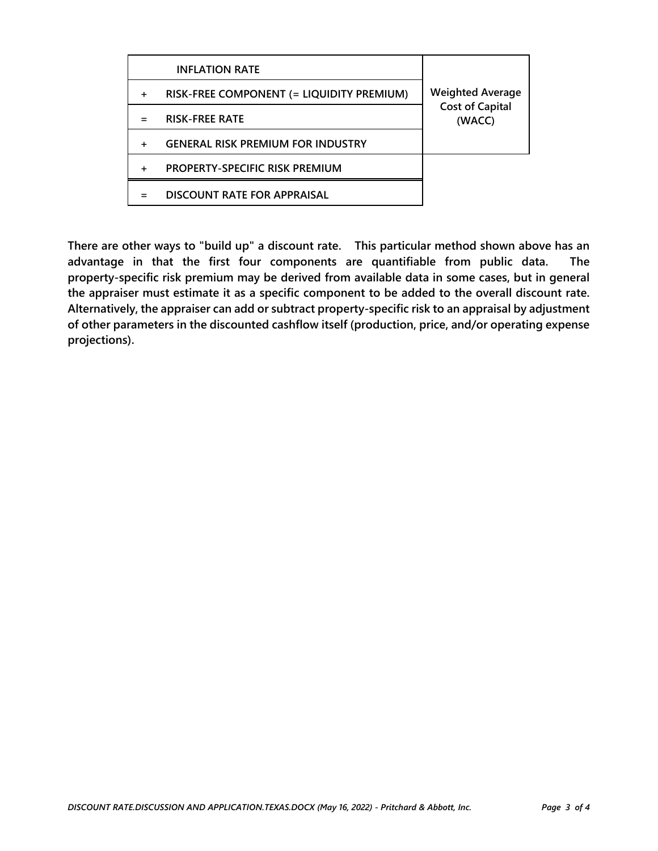|           | <b>INFLATION RATE</b>                     |                                  |
|-----------|-------------------------------------------|----------------------------------|
| $\ddot{}$ | RISK-FREE COMPONENT (= LIQUIDITY PREMIUM) | <b>Weighted Average</b>          |
|           | <b>RISK-FREE RATE</b>                     | <b>Cost of Capital</b><br>(WACC) |
| +         | <b>GENERAL RISK PREMIUM FOR INDUSTRY</b>  |                                  |
| +         | <b>PROPERTY-SPECIFIC RISK PREMIUM</b>     |                                  |
|           | DISCOUNT RATE FOR APPRAISAL               |                                  |

**There are other ways to "build up" a discount rate. This particular method shown above has an advantage in that the first four components are quantifiable from public data. The property-specific risk premium may be derived from available data in some cases, but in general the appraiser must estimate it as a specific component to be added to the overall discount rate. Alternatively, the appraiser can add or subtract property-specific risk to an appraisal by adjustment of other parameters in the discounted cashflow itself (production, price, and/or operating expense projections).**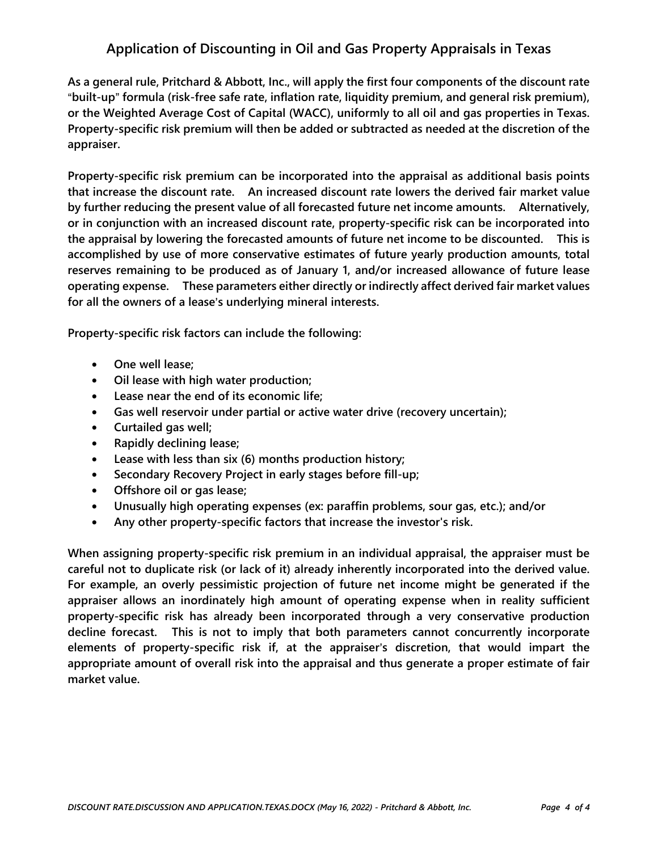# **Application of Discounting in Oil and Gas Property Appraisals in Texas**

**As a general rule, Pritchard & Abbott, Inc., will apply the first four components of the discount rate**  A**built-up**@ **formula (risk-free safe rate, inflation rate, liquidity premium, and general risk premium), or the Weighted Average Cost of Capital (WACC), uniformly to all oil and gas properties in Texas. Property-specific risk premium will then be added or subtracted as needed at the discretion of the appraiser.** 

**Property-specific risk premium can be incorporated into the appraisal as additional basis points that increase the discount rate. An increased discount rate lowers the derived fair market value by further reducing the present value of all forecasted future net income amounts. Alternatively, or in conjunction with an increased discount rate, property-specific risk can be incorporated into the appraisal by lowering the forecasted amounts of future net income to be discounted. This is accomplished by use of more conservative estimates of future yearly production amounts, total reserves remaining to be produced as of January 1, and/or increased allowance of future lease operating expense. These parameters either directly or indirectly affect derived fair market values**  for all the owners of a lease's underlying mineral interests.

**Property-specific risk factors can include the following:** 

- **•** One well lease;
- $\bullet$  **Oil lease with high water production;**
- Lease near the end of its economic life;
- Gas well reservoir under partial or active water drive (recovery uncertain);
- **Curtailed gas well;**
- **Rapidly declining lease;**
- Lease with less than six (6) months production history;
- Secondary Recovery Project in early stages before fill-up;
- **Offshore oil or gas lease;**
- **•** Unusually high operating expenses (ex: paraffin problems, sour gas, etc.); and/or
- **Any other property-specific factors that increase the investor's risk.**

**When assigning property-specific risk premium in an individual appraisal, the appraiser must be careful not to duplicate risk (or lack of it) already inherently incorporated into the derived value. For example, an overly pessimistic projection of future net income might be generated if the appraiser allows an inordinately high amount of operating expense when in reality sufficient property-specific risk has already been incorporated through a very conservative production decline forecast. This is not to imply that both parameters cannot concurrently incorporate elements of property-specific risk if, at the appraiser**=**s discretion, that would impart the appropriate amount of overall risk into the appraisal and thus generate a proper estimate of fair market value.**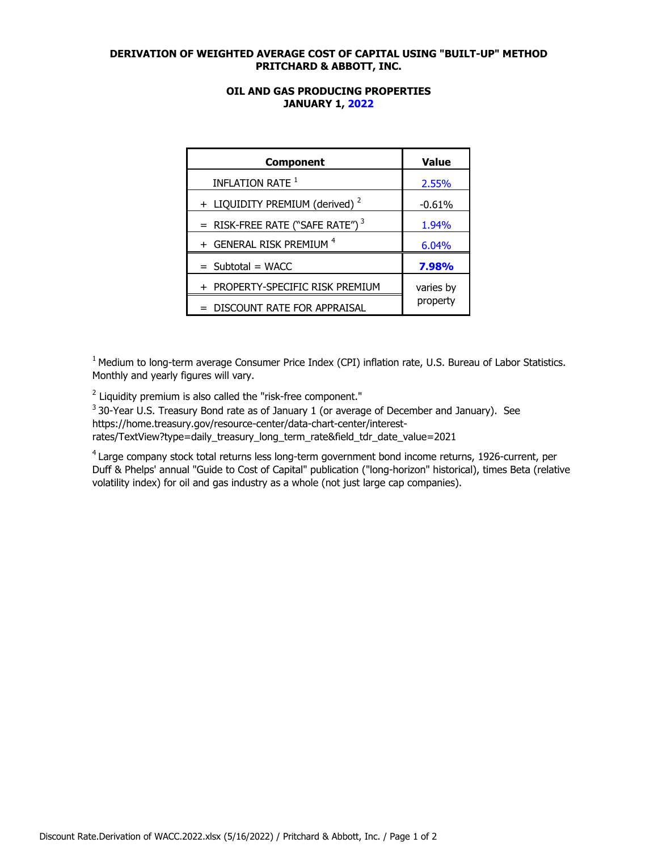### **DERIVATION OF WEIGHTED AVERAGE COST OF CAPITAL USING "BUILT-UP" METHOD PRITCHARD & ABBOTT, INC.**

### **OIL AND GAS PRODUCING PROPERTIES JANUARY 1, 2022**

| <b>Component</b>                           | <b>Value</b> |  |
|--------------------------------------------|--------------|--|
| INFLATION RATE <sup>1</sup>                | 2.55%        |  |
| + LIQUIDITY PREMIUM (derived) <sup>2</sup> | $-0.61%$     |  |
| = RISK-FREE RATE ("SAFE RATE") $3$         | 1.94%        |  |
| + GENERAL RISK PREMIUM <sup>4</sup>        | 6.04%        |  |
| $=$ Subtotal $=$ WACC                      | 7.98%        |  |
| + PROPERTY-SPECIFIC RISK PREMIUM           | varies by    |  |
| DISCOUNT RATE FOR APPRAISAL                | property     |  |

 $1$  Medium to long-term average Consumer Price Index (CPI) inflation rate, U.S. Bureau of Labor Statistics. Monthly and yearly figures will vary.

 $2$  Liquidity premium is also called the "risk-free component."

<sup>3</sup> 30-Year U.S. Treasury Bond rate as of January 1 (or average of December and January). See https://home.treasury.gov/resource-center/data-chart-center/interestrates/TextView?type=daily\_treasury\_long\_term\_rate&field\_tdr\_date\_value=2021

<sup>4</sup> Large company stock total returns less long-term government bond income returns, 1926-current, per Duff & Phelps' annual "Guide to Cost of Capital" publication ("long-horizon" historical), times Beta (relative volatility index) for oil and gas industry as a whole (not just large cap companies).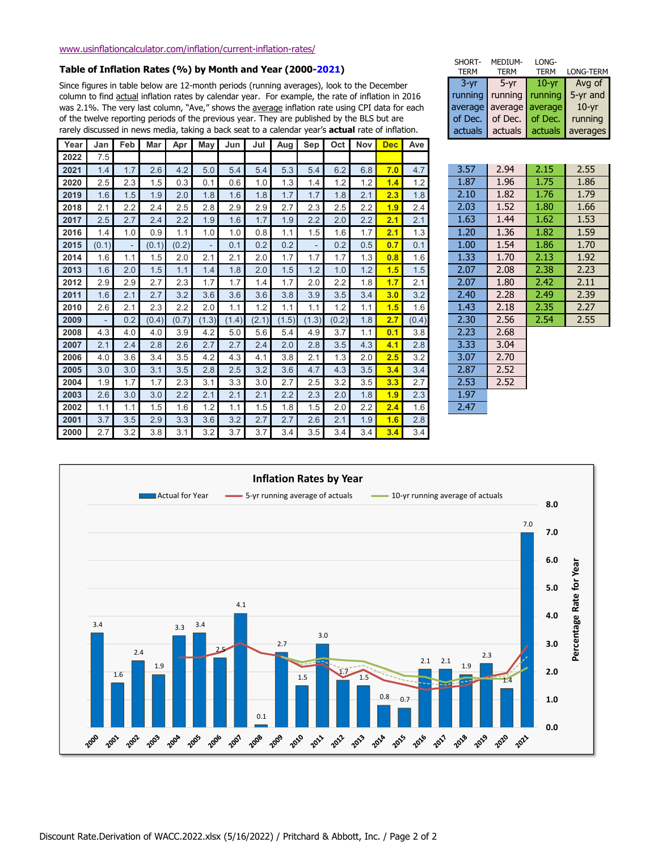#### **Table of Inflation Rates (%) by Month and Year (2000-2021)**

Since figures in table below are 12-month periods (running averages), look to the December column to find actual inflation rates by calendar year. For example, the rate of inflation in 2016 was 2.1%. The very last column, "Ave," shows the average inflation rate using CPI data for each of the twelve reporting periods of the previous year. They are published by the BLS but are rarely discussed in news media, taking a back seat to a calendar year's **actual** rate of inflation.

| Year | Jan                      | Feb    | Mar   | Apr   | May    | Jun   | Jul   | Aug   | Sep                      | Oct   | Nov | <b>Dec</b> | Ave   |      |      |      |      |
|------|--------------------------|--------|-------|-------|--------|-------|-------|-------|--------------------------|-------|-----|------------|-------|------|------|------|------|
| 2022 | 7.5                      |        |       |       |        |       |       |       |                          |       |     |            |       |      |      |      |      |
| 2021 | 1.4                      | 1.7    | 2.6   | 4.2   | 5.0    | 5.4   | 5.4   | 5.3   | 5.4                      | 6.2   | 6.8 | 7.0        | 4.7   | 3.57 | 2.94 | 2.15 | 2.55 |
| 2020 | 2.5                      | 2.3    | 1.5   | 0.3   | 0.1    | 0.6   | 1.0   | 1.3   | 1.4                      | 1.2   | 1.2 | 1.4        | 1.2   | 1.87 | 1.96 | 1.75 | 1.86 |
| 2019 | 1.6                      | 1.5    | 1.9   | 2.0   | 1.8    | 1.6   | 1.8   | 1.7   | 1.7                      | 1.8   | 2.1 | 2.3        | 1.8   | 2.10 | 1.82 | 1.76 | 1.79 |
| 2018 | 2.1                      | 2.2    | 2.4   | 2.5   | 2.8    | 2.9   | 2.9   | 2.7   | 2.3                      | 2.5   | 2.2 | 1.9        | 2.4   | 2.03 | 1.52 | 1.80 | 1.66 |
| 2017 | 2.5                      | 2.7    | 2.4   | 2.2   | 1.9    | 1.6   | 1.7   | 1.9   | 2.2                      | 2.0   | 2.2 | 2.1        | 2.1   | 1.63 | 1.44 | 1.62 | 1.53 |
| 2016 | 1.4                      | 1.0    | 0.9   | 1.1   | 1.0    | 1.0   | 0.8   | 1.1   | 1.5                      | 1.6   | 1.7 | 2.1        | 1.3   | 1.20 | 1.36 | 1.82 | 1.59 |
| 2015 | (0.1)                    | $\sim$ | (0.1) | (0.2) | $\sim$ | 0.1   | 0.2   | 0.2   | $\overline{\phantom{a}}$ | 0.2   | 0.5 | 0.7        | 0.1   | 1.00 | 1.54 | 1.86 | 1.70 |
| 2014 | 1.6                      | 1.1    | 1.5   | 2.0   | 2.1    | 2.1   | 2.0   | 1.7   | 1.7                      | 1.7   | 1.3 | 0.8        | 1.6   | 1.33 | 1.70 | 2.13 | 1.92 |
| 2013 | 1.6                      | 2.0    | 1.5   | 1.1   | 1.4    | 1.8   | 2.0   | 1.5   | 1.2                      | 1.0   | 1.2 | 1.5        | 1.5   | 2.07 | 2.08 | 2.38 | 2.23 |
| 2012 | 2.9                      | 2.9    | 2.7   | 2.3   | 1.7    | 1.7   | 1.4   | 1.7   | 2.0                      | 2.2   | 1.8 | 1.7        | 2.1   | 2.07 | 1.80 | 2.42 | 2.11 |
| 2011 | 1.6                      | 2.1    | 2.7   | 3.2   | 3.6    | 3.6   | 3.6   | 3.8   | 3.9                      | 3.5   | 3.4 | 3.0        | 3.2   | 2.40 | 2.28 | 2.49 | 2.39 |
| 2010 | 2.6                      | 2.1    | 2.3   | 2.2   | 2.0    | 1.1   | 1.2   | 1.1   | 1.1                      | 1.2   | 1.1 | 1.5        | 1.6   | 1.43 | 2.18 | 2.35 | 2.27 |
| 2009 | $\overline{\phantom{a}}$ | 0.2    | (0.4) | (0.7) | (1.3)  | (1.4) | (2.1) | (1.5) | (1.3)                    | (0.2) | 1.8 | 2.7        | (0.4) | 2.30 | 2.56 | 2.54 | 2.55 |
| 2008 | 4.3                      | 4.0    | 4.0   | 3.9   | 4.2    | 5.0   | 5.6   | 5.4   | 4.9                      | 3.7   | 1.1 | 0.1        | 3.8   | 2.23 | 2.68 |      |      |
| 2007 | 2.1                      | 2.4    | 2.8   | 2.6   | 2.7    | 2.7   | 2.4   | 2.0   | 2.8                      | 3.5   | 4.3 | 4.1        | 2.8   | 3.33 | 3.04 |      |      |
| 2006 | 4.0                      | 3.6    | 3.4   | 3.5   | 4.2    | 4.3   | 4.1   | 3.8   | 2.1                      | 1.3   | 2.0 | 2.5        | 3.2   | 3.07 | 2.70 |      |      |
| 2005 | 3.0                      | 3.0    | 3.1   | 3.5   | 2.8    | 2.5   | 3.2   | 3.6   | 4.7                      | 4.3   | 3.5 | 3.4        | 3.4   | 2.87 | 2.52 |      |      |
| 2004 | 1.9                      | 1.7    | 1.7   | 2.3   | 3.1    | 3.3   | 3.0   | 2.7   | 2.5                      | 3.2   | 3.5 | 3.3        | 2.7   | 2.53 | 2.52 |      |      |
| 2003 | 2.6                      | 3.0    | 3.0   | 2.2   | 2.1    | 2.1   | 2.1   | 2.2   | 2.3                      | 2.0   | 1.8 | 1.9        | 2.3   | 1.97 |      |      |      |
| 2002 | 1.1                      | 1.1    | 1.5   | 1.6   | 1.2    | 1.1   | 1.5   | 1.8   | 1.5                      | 2.0   | 2.2 | 2.4        | 1.6   | 2.47 |      |      |      |
| 2001 | 3.7                      | 3.5    | 2.9   | 3.3   | 3.6    | 3.2   | 2.7   | 2.7   | 2.6                      | 2.1   | 1.9 | 1.6        | 2.8   |      |      |      |      |
| 2000 | 2.7                      | 3.2    | 3.8   | 3.1   | 3.2    | 3.7   | 3.7   | 3.4   | 3.5                      | 3.4   | 3.4 | 3.4        | 3.4   |      |      |      |      |

| SHORT-<br><b>TERM</b> | MEDIUM-<br><b>TERM</b>  | LONG-<br><b>TERM</b> | <b>LONG-TERM</b> |
|-----------------------|-------------------------|----------------------|------------------|
| $3 - yr$              | $5 - yr$                | $10 - yr$            | Avg of           |
| running               | running $\vert$ running |                      | 5-yr and         |
|                       | average average average |                      | $10 - yr$        |
| of Dec.               | of Dec.                 | of Dec.              | running          |
| actuals               | actuals                 | actuals              | averages         |

| 3.57 | 2.94 | 2.15 | 2.55 |
|------|------|------|------|
| 1.87 | 1.96 | 1.75 | 1.86 |
| 2.10 | 1.82 | 1.76 | 1.79 |
| 2.03 | 1.52 | 1.80 | 1.66 |
| 1.63 | 1.44 | 1.62 | 1.53 |
| 1.20 | 1.36 | 1.82 | 1.59 |
| 1.00 | 1.54 | 1.86 | 1.70 |
| 1.33 | 1.70 | 2.13 | 1.92 |
| 2.07 | 2.08 | 2.38 | 2.23 |
| 2.07 | 1.80 | 2.42 | 2.11 |
| 2.40 | 2.28 | 2.49 | 2.39 |
| 1.43 | 2.18 | 2.35 | 2.27 |
| 2.30 | 2.56 | 2.54 | 2.55 |
| 2.23 | 2.68 |      |      |
| 3.33 | 3.04 |      |      |
| 3.07 | 2.70 |      |      |
| 2.87 | 2.52 |      |      |
| 2.53 | 2.52 |      |      |
| 1.97 |      |      |      |
| 2.47 |      |      |      |
|      |      |      |      |
|      |      |      |      |